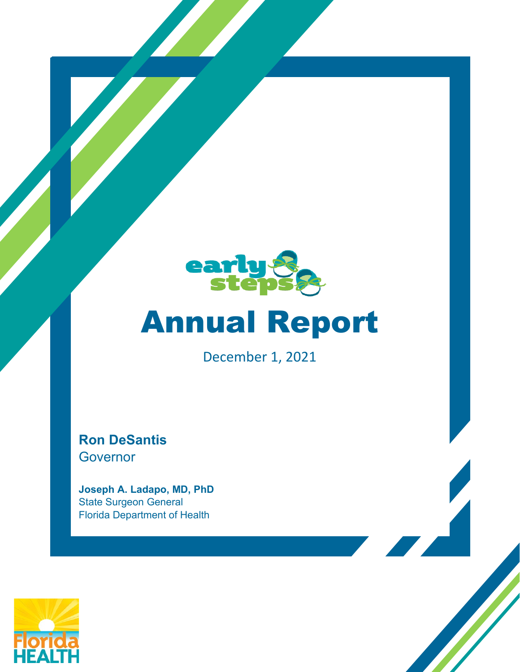

# Annual Report

December 1, 2021

**Ron DeSantis** Governor

**Joseph A. Ladapo, MD, PhD** State Surgeon General Florida Department of Health

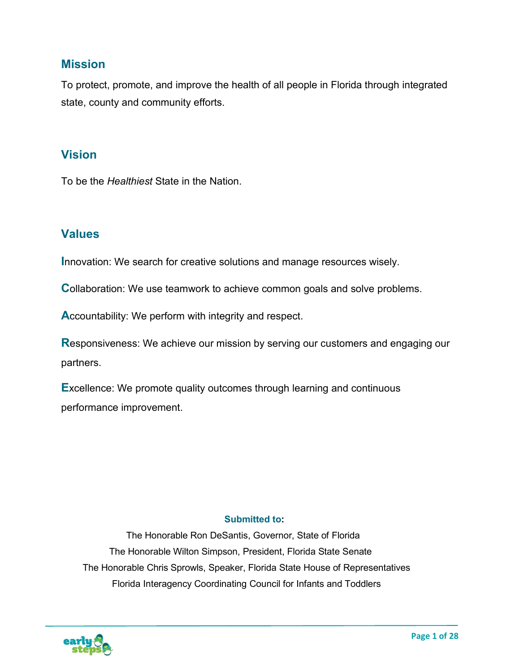## **Mission**

To protect, promote, and improve the health of all people in Florida through integrated state, county and community efforts.

## **Vision**

To be the *Healthiest* State in the Nation.

## **Values**

**Innovation: We search for creative solutions and manage resources wisely.** 

**Collaboration: We use teamwork to achieve common goals and solve problems.** 

**A**ccountability: We perform with integrity and respect.

**R**esponsiveness: We achieve our mission by serving our customers and engaging our partners.

**E**xcellence: We promote quality outcomes through learning and continuous performance improvement.

#### **Submitted to:**

 The Honorable Ron DeSantis, Governor, State of Florida The Honorable Wilton Simpson, President, Florida State Senate The Honorable Chris Sprowls, Speaker, Florida State House of Representatives Florida Interagency Coordinating Council for Infants and Toddlers

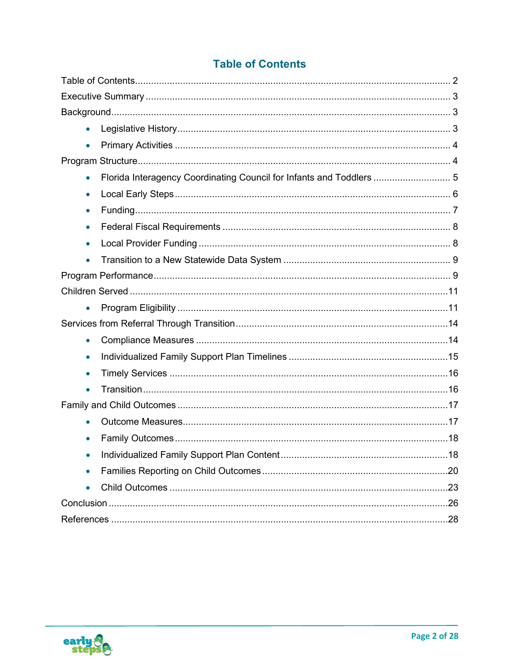|  | <b>Table of Contents</b> |
|--|--------------------------|
|  |                          |

<span id="page-2-0"></span>

| $\bullet$ |                                                                      |    |
|-----------|----------------------------------------------------------------------|----|
| $\bullet$ |                                                                      |    |
|           |                                                                      |    |
| $\bullet$ | Florida Interagency Coordinating Council for Infants and Toddlers  5 |    |
| $\bullet$ |                                                                      |    |
| $\bullet$ |                                                                      |    |
| $\bullet$ |                                                                      |    |
| $\bullet$ |                                                                      |    |
| $\bullet$ |                                                                      |    |
|           |                                                                      |    |
|           |                                                                      |    |
| $\bullet$ |                                                                      |    |
|           |                                                                      |    |
| $\bullet$ |                                                                      |    |
| $\bullet$ |                                                                      |    |
| $\bullet$ |                                                                      |    |
| $\bullet$ |                                                                      |    |
|           |                                                                      |    |
| $\bullet$ |                                                                      |    |
|           |                                                                      |    |
| $\bullet$ | Individualized Family Support Plan Content                           | 18 |
| $\bullet$ |                                                                      |    |
|           |                                                                      |    |
|           |                                                                      |    |
|           |                                                                      |    |

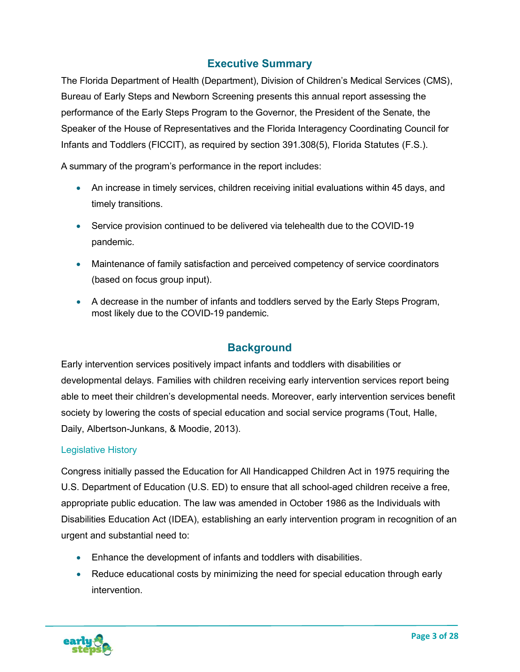## **Executive Summary**

<span id="page-3-0"></span>The Florida Department of Health (Department), Division of Children's Medical Services (CMS), Bureau of Early Steps and Newborn Screening presents this annual report assessing the performance of the Early Steps Program to the Governor, the President of the Senate, the Speaker of the House of Representatives and the Florida Interagency Coordinating Council for Infants and Toddlers (FICCIT), as required by section 391.308(5), Florida Statutes (F.S.).

A summary of the program's performance in the report includes:

- An increase in timely services, children receiving initial evaluations within 45 days, and timely transitions.
- Service provision continued to be delivered via telehealth due to the COVID-19 pandemic.
- Maintenance of family satisfaction and perceived competency of service coordinators (based on focus group input).
- A decrease in the number of infants and toddlers served by the Early Steps Program, most likely due to the COVID-19 pandemic.

## **Background**

<span id="page-3-1"></span>Early intervention services positively impact infants and toddlers with disabilities or developmental delays. Families with children receiving early intervention services report being able to meet their children's developmental needs. Moreover, early intervention services benefit society by lowering the costs of special education and social service programs (Tout, Halle, Daily, Albertson-Junkans, & Moodie, 2013).

#### <span id="page-3-2"></span>Legislative History

Congress initially passed the Education for All Handicapped Children Act in 1975 requiring the U.S. Department of Education (U.S. ED) to ensure that all school-aged children receive a free, appropriate public education. The law was amended in October 1986 as the Individuals with Disabilities Education Act (IDEA), establishing an early intervention program in recognition of an urgent and substantial need to:

- Enhance the development of infants and toddlers with disabilities.
- Reduce educational costs by minimizing the need for special education through early intervention.

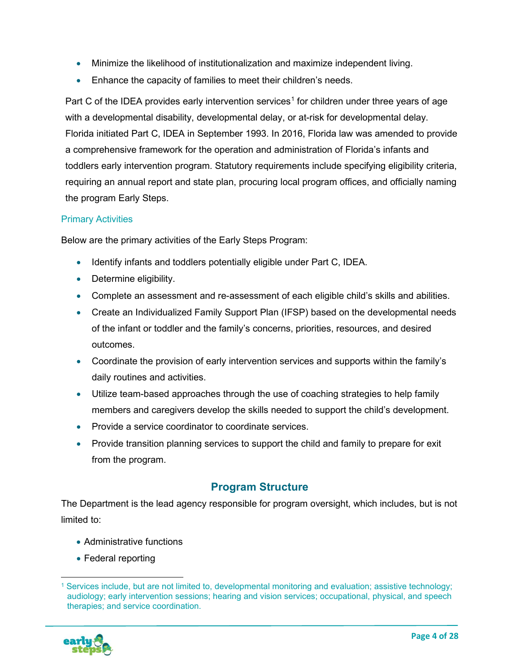- Minimize the likelihood of institutionalization and maximize independent living.
- Enhance the capacity of families to meet their children's needs.

Part C of the IDEA provides early intervention services<sup>[1](#page-4-2)</sup> for children under three years of age with a developmental disability, developmental delay, or at-risk for developmental delay. Florida initiated Part C, IDEA in September 1993. In 2016, Florida law was amended to provide a comprehensive framework for the operation and administration of Florida's infants and toddlers early intervention program. Statutory requirements include specifying eligibility criteria, requiring an annual report and state plan, procuring local program offices, and officially naming the program Early Steps.

#### <span id="page-4-0"></span>Primary Activities

Below are the primary activities of the Early Steps Program:

- Identify infants and toddlers potentially eligible under Part C, IDEA.
- Determine eligibility.
- Complete an assessment and re-assessment of each eligible child's skills and abilities.
- Create an Individualized Family Support Plan (IFSP) based on the developmental needs of the infant or toddler and the family's concerns, priorities, resources, and desired outcomes.
- Coordinate the provision of early intervention services and supports within the family's daily routines and activities.
- Utilize team-based approaches through the use of coaching strategies to help family members and caregivers develop the skills needed to support the child's development.
- Provide a service coordinator to coordinate services.
- Provide transition planning services to support the child and family to prepare for exit from the program.

## **Program Structure**

<span id="page-4-1"></span>The Department is the lead agency responsible for program oversight, which includes, but is not limited to:

- Administrative functions
- Federal reporting

<span id="page-4-2"></span><sup>1</sup> Services include, but are not limited to, developmental monitoring and evaluation; assistive technology; audiology; early intervention sessions; hearing and vision services; occupational, physical, and speech therapies; and service coordination.

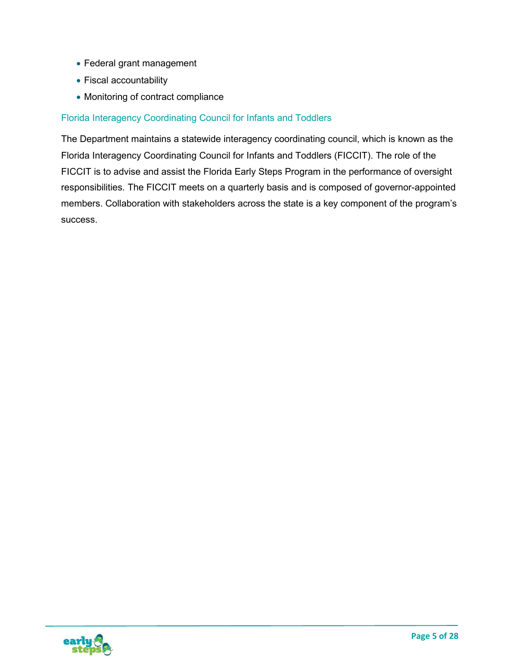- Federal grant management
- Fiscal accountability
- Monitoring of contract compliance

#### <span id="page-5-0"></span>Florida Interagency Coordinating Council for Infants and Toddlers

The Department maintains a statewide interagency coordinating council, which is known as the Florida Interagency Coordinating Council for Infants and Toddlers (FICCIT). The role of the FICCIT is to advise and assist the Florida Early Steps Program in the performance of oversight responsibilities. The FICCIT meets on a quarterly basis and is composed of governor-appointed members. Collaboration with stakeholders across the state is a key component of the program's success.

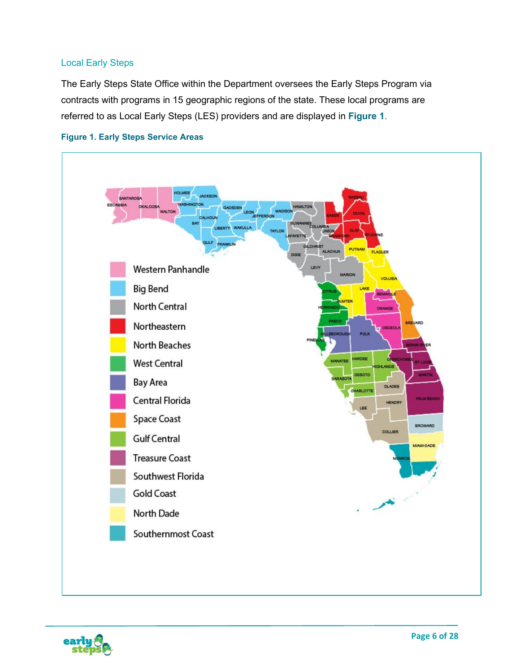#### <span id="page-6-0"></span>Local Early Steps

The Early Steps State Office within the Department oversees the Early Steps Program via contracts with programs in 15 geographic regions of the state. These local programs are referred to as Local Early Steps (LES) providers and are displayed in **Figure 1**.





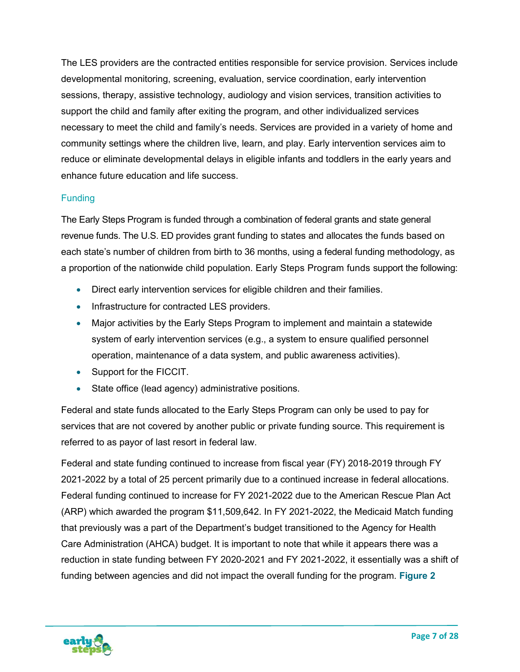The LES providers are the contracted entities responsible for service provision. Services include developmental monitoring, screening, evaluation, service coordination, early intervention sessions, therapy, assistive technology, audiology and vision services, transition activities to support the child and family after exiting the program, and other individualized services necessary to meet the child and family's needs. Services are provided in a variety of home and community settings where the children live, learn, and play. Early intervention services aim to reduce or eliminate developmental delays in eligible infants and toddlers in the early years and enhance future education and life success.

#### <span id="page-7-0"></span>**Funding**

The Early Steps Program is funded through a combination of federal grants and state general revenue funds. The U.S. ED provides grant funding to states and allocates the funds based on each state's number of children from birth to 36 months, using a federal funding methodology, as a proportion of the nationwide child population. Early Steps Program funds support the following:

- Direct early intervention services for eligible children and their families.
- Infrastructure for contracted LES providers.
- Major activities by the Early Steps Program to implement and maintain a statewide system of early intervention services (e.g., a system to ensure qualified personnel operation, maintenance of a data system, and public awareness activities).
- Support for the FICCIT.
- State office (lead agency) administrative positions.

Federal and state funds allocated to the Early Steps Program can only be used to pay for services that are not covered by another public or private funding source. This requirement is referred to as payor of last resort in federal law.

Federal and state funding continued to increase from fiscal year (FY) 2018-2019 through FY 2021-2022 by a total of 25 percent primarily due to a continued increase in federal allocations. Federal funding continued to increase for FY 2021-2022 due to the American Rescue Plan Act (ARP) which awarded the program \$11,509,642. In FY 2021-2022, the Medicaid Match funding that previously was a part of the Department's budget transitioned to the Agency for Health Care Administration (AHCA) budget. It is important to note that while it appears there was a reduction in state funding between FY 2020-2021 and FY 2021-2022, it essentially was a shift of funding between agencies and did not impact the overall funding for the program. **Figure 2**

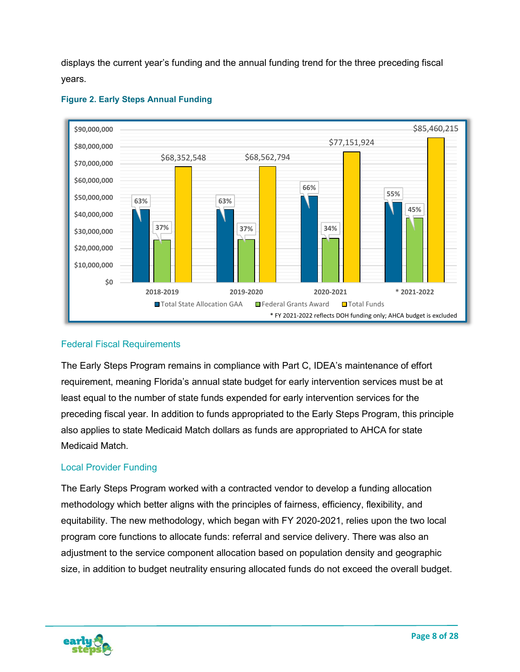displays the current year's funding and the annual funding trend for the three preceding fiscal years.



#### **Figure 2. Early Steps Annual Funding**

#### <span id="page-8-0"></span>Federal Fiscal Requirements

The Early Steps Program remains in compliance with Part C, IDEA's maintenance of effort requirement, meaning Florida's annual state budget for early intervention services must be at least equal to the number of state funds expended for early intervention services for the preceding fiscal year. In addition to funds appropriated to the Early Steps Program, this principle also applies to state Medicaid Match dollars as funds are appropriated to AHCA for state Medicaid Match.

#### <span id="page-8-1"></span>Local Provider Funding

The Early Steps Program worked with a contracted vendor to develop a funding allocation methodology which better aligns with the principles of fairness, efficiency, flexibility, and equitability. The new methodology, which began with FY 2020-2021, relies upon the two local program core functions to allocate funds: referral and service delivery. There was also an adjustment to the service component allocation based on population density and geographic size, in addition to budget neutrality ensuring allocated funds do not exceed the overall budget.

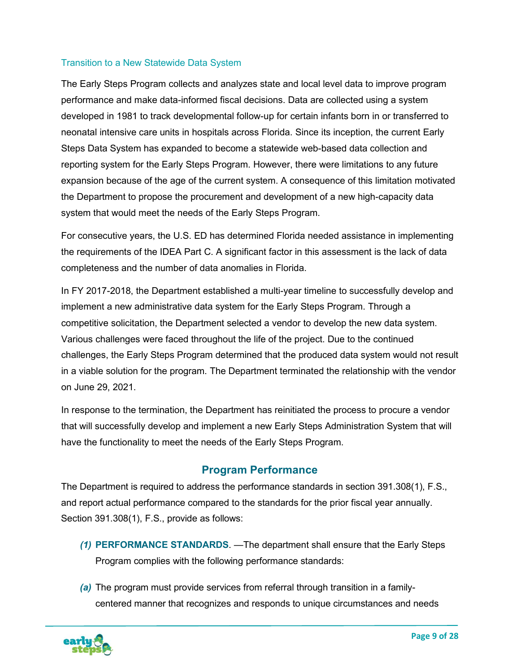#### <span id="page-9-0"></span>Transition to a New Statewide Data System

The Early Steps Program collects and analyzes state and local level data to improve program performance and make data-informed fiscal decisions. Data are collected using a system developed in 1981 to track developmental follow-up for certain infants born in or transferred to neonatal intensive care units in hospitals across Florida. Since its inception, the current Early Steps Data System has expanded to become a statewide web-based data collection and reporting system for the Early Steps Program. However, there were limitations to any future expansion because of the age of the current system. A consequence of this limitation motivated the Department to propose the procurement and development of a new high-capacity data system that would meet the needs of the Early Steps Program.

For consecutive years, the U.S. ED has determined Florida needed assistance in implementing the requirements of the IDEA Part C. A significant factor in this assessment is the lack of data completeness and the number of data anomalies in Florida.

In FY 2017-2018, the Department established a multi-year timeline to successfully develop and implement a new administrative data system for the Early Steps Program. Through a competitive solicitation, the Department selected a vendor to develop the new data system. Various challenges were faced throughout the life of the project. Due to the continued challenges, the Early Steps Program determined that the produced data system would not result in a viable solution for the program. The Department terminated the relationship with the vendor on June 29, 2021.

In response to the termination, the Department has reinitiated the process to procure a vendor that will successfully develop and implement a new Early Steps Administration System that will have the functionality to meet the needs of the Early Steps Program.

## **Program Performance**

<span id="page-9-1"></span>The Department is required to address the performance standards in section 391.308(1), F.S., and report actual performance compared to the standards for the prior fiscal year annually. Section 391.308(1), F.S., provide as follows:

- *(1)* **PERFORMANCE STANDARDS**. —The department shall ensure that the Early Steps Program complies with the following performance standards:
- *(a)* The program must provide services from referral through transition in a familycentered manner that recognizes and responds to unique circumstances and needs

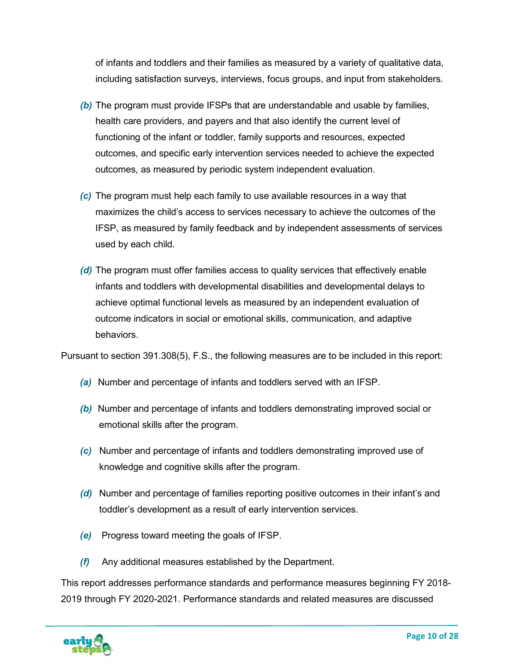of infants and toddlers and their families as measured by a variety of qualitative data, including satisfaction surveys, interviews, focus groups, and input from stakeholders.

- *(b)* The program must provide IFSPs that are understandable and usable by families, health care providers, and payers and that also identify the current level of functioning of the infant or toddler, family supports and resources, expected outcomes, and specific early intervention services needed to achieve the expected outcomes, as measured by periodic system independent evaluation.
- *(c)* The program must help each family to use available resources in a way that maximizes the child's access to services necessary to achieve the outcomes of the IFSP, as measured by family feedback and by independent assessments of services used by each child.
- *(d)* The program must offer families access to quality services that effectively enable infants and toddlers with developmental disabilities and developmental delays to achieve optimal functional levels as measured by an independent evaluation of outcome indicators in social or emotional skills, communication, and adaptive behaviors.

Pursuant to section 391.308(5), F.S., the following measures are to be included in this report:

- *(a)* Number and percentage of infants and toddlers served with an IFSP.
- *(b)* Number and percentage of infants and toddlers demonstrating improved social or emotional skills after the program.
- *(c)* Number and percentage of infants and toddlers demonstrating improved use of knowledge and cognitive skills after the program.
- *(d)* Number and percentage of families reporting positive outcomes in their infant's and toddler's development as a result of early intervention services.
- *(e)* Progress toward meeting the goals of IFSP.
- *(f)* Any additional measures established by the Department.

This report addresses performance standards and performance measures beginning FY 2018- 2019 through FY 2020-2021. Performance standards and related measures are discussed

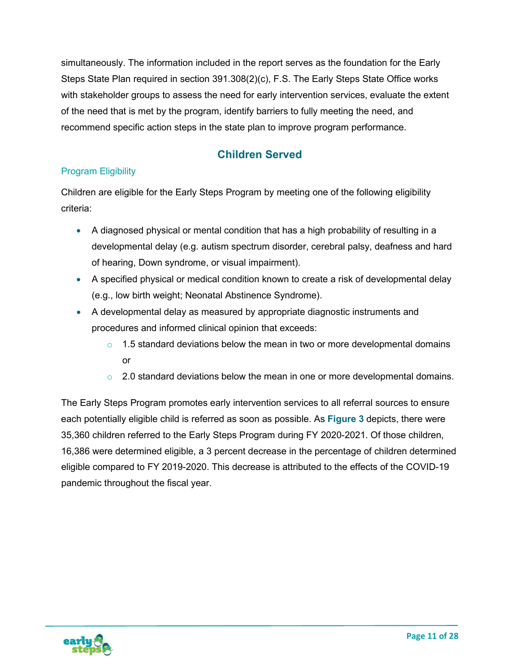simultaneously. The information included in the report serves as the foundation for the Early Steps State Plan required in section 391.308(2)(c), F.S. The Early Steps State Office works with stakeholder groups to assess the need for early intervention services, evaluate the extent of the need that is met by the program, identify barriers to fully meeting the need, and recommend specific action steps in the state plan to improve program performance.

## **Children Served**

## <span id="page-11-1"></span><span id="page-11-0"></span>Program Eligibility

Children are eligible for the Early Steps Program by meeting one of the following eligibility criteria:

- A diagnosed physical or mental condition that has a high probability of resulting in a developmental delay (e.g. autism spectrum disorder, cerebral palsy, deafness and hard of hearing, Down syndrome, or visual impairment).
- A specified physical or medical condition known to create a risk of developmental delay (e.g., low birth weight; Neonatal Abstinence Syndrome).
- A developmental delay as measured by appropriate diagnostic instruments and procedures and [informed clinical opinion](http://www.floridahealth.gov/alternatesites/cms-kids/home/resources/es_policy/DEFINITIONS.doc#informed_clinical_opinion) that exceeds:
	- $\circ$  1.5 standard deviations below the mean in two or more developmental domains or
	- $\circ$  2.0 standard deviations below the mean in one or more developmental domains.

The Early Steps Program promotes early intervention services to all referral sources to ensure each potentially eligible child is referred as soon as possible. As **Figure 3** depicts, there were 35,360 children referred to the Early Steps Program during FY 2020-2021. Of those children, 16,386 were determined eligible, a 3 percent decrease in the percentage of children determined eligible compared to FY 2019-2020. This decrease is attributed to the effects of the COVID-19 pandemic throughout the fiscal year.

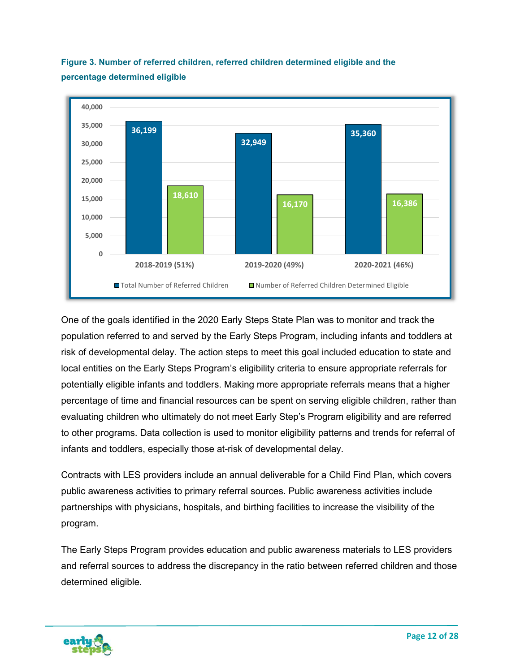

**Figure 3. Number of referred children, referred children determined eligible and the percentage determined eligible** 

One of the goals identified in the 2020 Early Steps State Plan was to monitor and track the population referred to and served by the Early Steps Program, including infants and toddlers at risk of developmental delay. The action steps to meet this goal included education to state and local entities on the Early Steps Program's eligibility criteria to ensure appropriate referrals for potentially eligible infants and toddlers. Making more appropriate referrals means that a higher percentage of time and financial resources can be spent on serving eligible children, rather than evaluating children who ultimately do not meet Early Step's Program eligibility and are referred to other programs. Data collection is used to monitor eligibility patterns and trends for referral of infants and toddlers, especially those at-risk of developmental delay.

Contracts with LES providers include an annual deliverable for a Child Find Plan, which covers public awareness activities to primary referral sources. Public awareness activities include partnerships with physicians, hospitals, and birthing facilities to increase the visibility of the program.

The Early Steps Program provides education and public awareness materials to LES providers and referral sources to address the discrepancy in the ratio between referred children and those determined eligible.

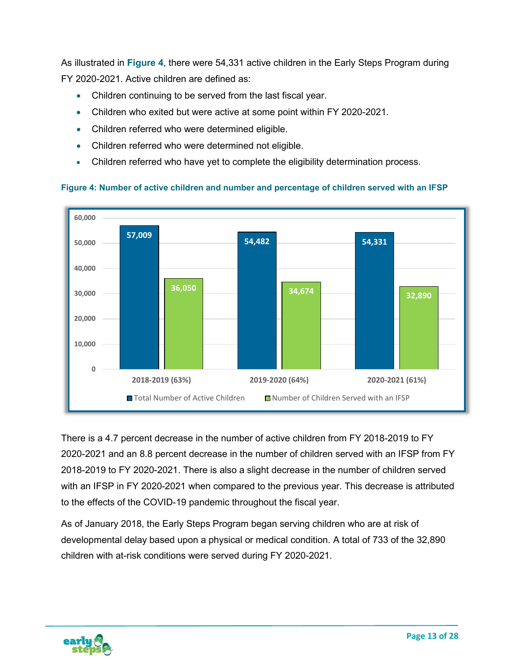As illustrated in **Figure 4**, there were 54,331 active children in the Early Steps Program during FY 2020-2021. Active children are defined as:

- Children continuing to be served from the last fiscal year.
- Children who exited but were active at some point within FY 2020-2021.
- Children referred who were determined eligible.
- Children referred who were determined not eligible.
- Children referred who have yet to complete the eligibility determination process.



#### **Figure 4: Number of active children and number and percentage of children served with an IFSP**

There is a 4.7 percent decrease in the number of active children from FY 2018-2019 to FY 2020-2021 and an 8.8 percent decrease in the number of children served with an IFSP from FY 2018-2019 to FY 2020-2021. There is also a slight decrease in the number of children served with an IFSP in FY 2020-2021 when compared to the previous year. This decrease is attributed to the effects of the COVID-19 pandemic throughout the fiscal year.

As of January 2018, the Early Steps Program began serving children who are at risk of developmental delay based upon a physical or medical condition. A total of 733 of the 32,890 children with at-risk conditions were served during FY 2020-2021.

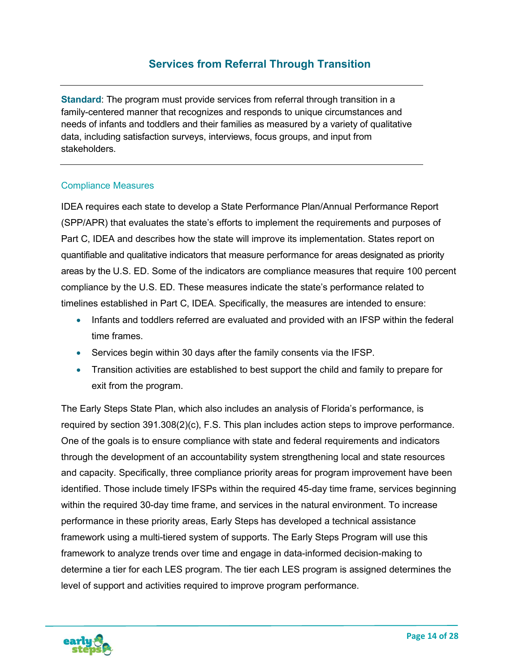<span id="page-14-0"></span>**Standard**: The program must provide services from referral through transition in a family-centered manner that recognizes and responds to unique circumstances and needs of infants and toddlers and their families as measured by a variety of qualitative data, including satisfaction surveys, interviews, focus groups, and input from stakeholders.

#### <span id="page-14-1"></span>Compliance Measures

IDEA requires each state to develop a State Performance Plan/Annual Performance Report (SPP/APR) that evaluates the state's efforts to implement the requirements and purposes of Part C, IDEA and describes how the state will improve its implementation. States report on quantifiable and qualitative indicators that measure performance for areas designated as priority areas by the U.S. ED. Some of the indicators are compliance measures that require 100 percent compliance by the U.S. ED. These measures indicate the state's performance related to timelines established in Part C, IDEA. Specifically, the measures are intended to ensure:

- Infants and toddlers referred are evaluated and provided with an IFSP within the federal time frames.
- Services begin within 30 days after the family consents via the IFSP.
- Transition activities are established to best support the child and family to prepare for exit from the program.

The Early Steps State Plan, which also includes an analysis of Florida's performance, is required by section 391.308(2)(c), F.S. This plan includes action steps to improve performance. One of the goals is to ensure compliance with state and federal requirements and indicators through the development of an accountability system strengthening local and state resources and capacity. Specifically, three compliance priority areas for program improvement have been identified. Those include timely IFSPs within the required 45-day time frame, services beginning within the required 30-day time frame, and services in the natural environment. To increase performance in these priority areas, Early Steps has developed a technical assistance framework using a multi-tiered system of supports. The Early Steps Program will use this framework to analyze trends over time and engage in data-informed decision-making to determine a tier for each LES program. The tier each LES program is assigned determines the level of support and activities required to improve program performance.

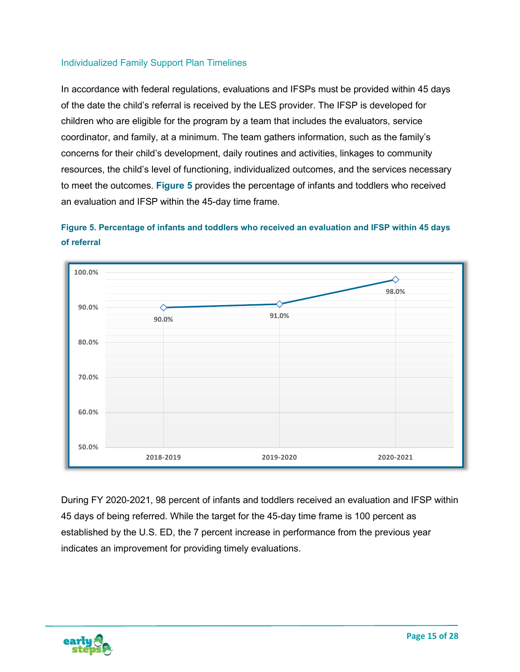#### <span id="page-15-0"></span>Individualized Family Support Plan Timelines

In accordance with federal regulations, evaluations and IFSPs must be provided within 45 days of the date the child's referral is received by the LES provider. The IFSP is developed for children who are eligible for the program by a team that includes the evaluators, service coordinator, and family, at a minimum. The team gathers information, such as the family's concerns for their child's development, daily routines and activities, linkages to community resources, the child's level of functioning, individualized outcomes, and the services necessary to meet the outcomes. **Figure 5** provides the percentage of infants and toddlers who received an evaluation and IFSP within the 45-day time frame.





During FY 2020-2021, 98 percent of infants and toddlers received an evaluation and IFSP within 45 days of being referred. While the target for the 45-day time frame is 100 percent as established by the U.S. ED, the 7 percent increase in performance from the previous year indicates an improvement for providing timely evaluations.

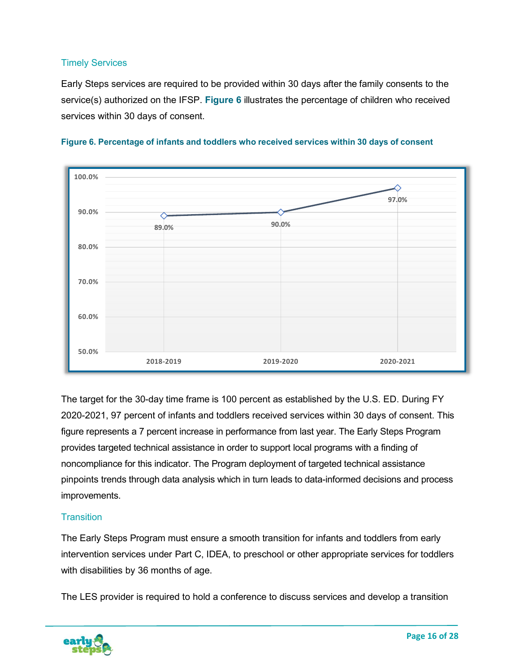#### <span id="page-16-0"></span>Timely Services

Early Steps services are required to be provided within 30 days after the family consents to the service(s) authorized on the IFSP. **Figure 6** illustrates the percentage of children who received services within 30 days of consent.





The target for the 30-day time frame is 100 percent as established by the U.S. ED. During FY 2020-2021, 97 percent of infants and toddlers received services within 30 days of consent. This figure represents a 7 percent increase in performance from last year. The Early Steps Program provides targeted technical assistance in order to support local programs with a finding of noncompliance for this indicator. The Program deployment of targeted technical assistance pinpoints trends through data analysis which in turn leads to data-informed decisions and process improvements.

#### <span id="page-16-1"></span>**Transition**

The Early Steps Program must ensure a smooth transition for infants and toddlers from early intervention services under Part C, IDEA, to preschool or other appropriate services for toddlers with disabilities by 36 months of age.

The LES provider is required to hold a conference to discuss services and develop a transition

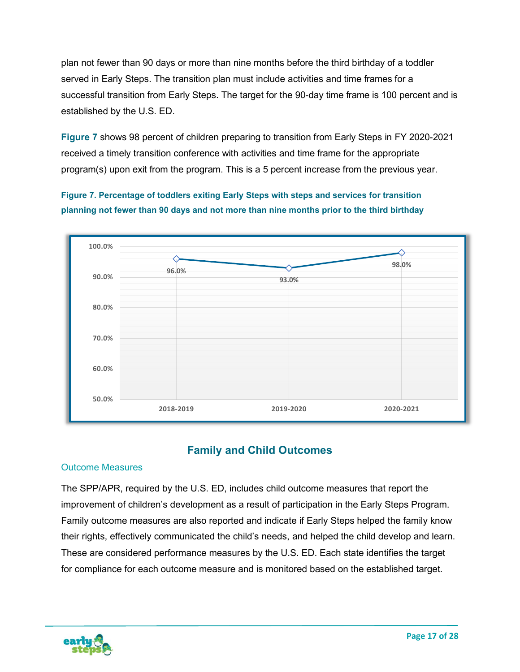plan not fewer than 90 days or more than nine months before the third birthday of a toddler served in Early Steps. The transition plan must include activities and time frames for a successful transition from Early Steps. The target for the 90-day time frame is 100 percent and is established by the U.S. ED.

**Figure 7** shows 98 percent of children preparing to transition from Early Steps in FY 2020-2021 received a timely transition conference with activities and time frame for the appropriate program(s) upon exit from the program. This is a 5 percent increase from the previous year.

**Figure 7. Percentage of toddlers exiting Early Steps with steps and services for transition planning not fewer than 90 days and not more than nine months prior to the third birthday**



## **Family and Child Outcomes**

#### <span id="page-17-1"></span><span id="page-17-0"></span>Outcome Measures

The SPP/APR, required by the U.S. ED, includes child outcome measures that report the improvement of children's development as a result of participation in the Early Steps Program. Family outcome measures are also reported and indicate if Early Steps helped the family know their rights, effectively communicated the child's needs, and helped the child develop and learn. These are considered performance measures by the U.S. ED. Each state identifies the target for compliance for each outcome measure and is monitored based on the established target.

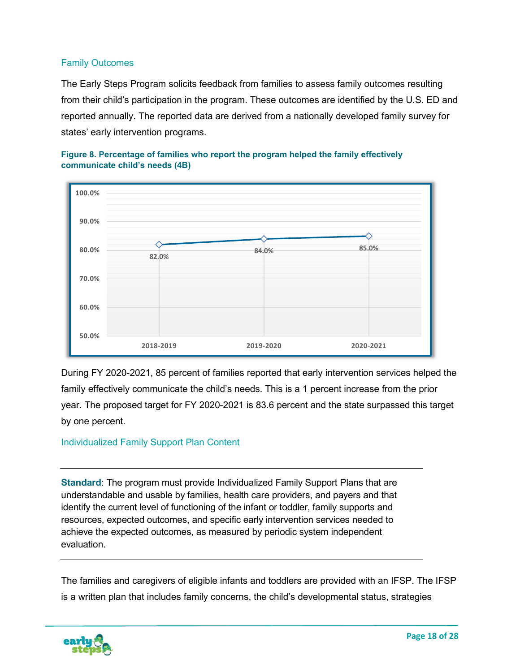#### <span id="page-18-0"></span>Family Outcomes

The Early Steps Program solicits feedback from families to assess family outcomes resulting from their child's participation in the program. These outcomes are identified by the U.S. ED and reported annually. The reported data are derived from a nationally developed family survey for states' early intervention programs.



**Figure 8. Percentage of families who report the program helped the family effectively communicate child's needs (4B)**

During FY 2020-2021, 85 percent of families reported that early intervention services helped the family effectively communicate the child's needs. This is a 1 percent increase from the prior year. The proposed target for FY 2020-2021 is 83.6 percent and the state surpassed this target by one percent.

#### <span id="page-18-1"></span>Individualized Family Support Plan Content

**Standard**: The program must provide Individualized Family Support Plans that are understandable and usable by families, health care providers, and payers and that identify the current level of functioning of the infant or toddler, family supports and resources, expected outcomes, and specific early intervention services needed to achieve the expected outcomes, as measured by periodic system independent evaluation.

The families and caregivers of eligible infants and toddlers are provided with an IFSP. The IFSP is a written plan that includes family concerns, the child's developmental status, strategies

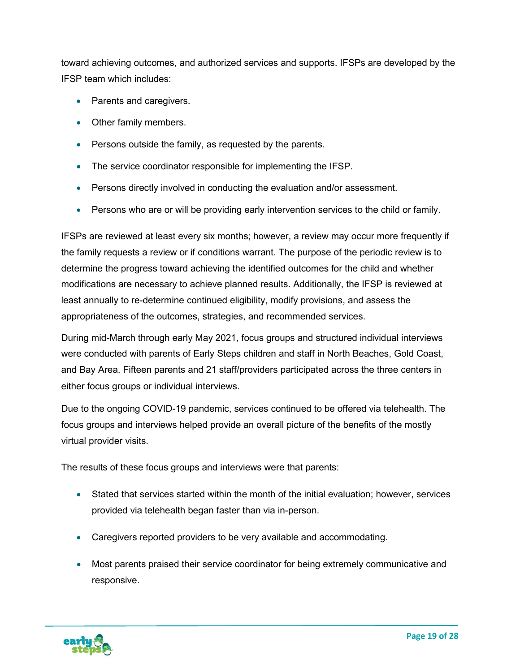toward achieving outcomes, and authorized services and supports. IFSPs are developed by the IFSP team which includes:

- Parents and caregivers.
- Other family members.
- Persons outside the family, as requested by the parents.
- The service coordinator responsible for implementing the IFSP.
- Persons directly involved in conducting the evaluation and/or assessment.
- Persons who are or will be providing early intervention services to the child or family.

IFSPs are reviewed at least every six months; however, a review may occur more frequently if the family requests a review or if conditions warrant. The purpose of the periodic review is to determine the progress toward achieving the identified outcomes for the child and whether modifications are necessary to achieve planned results. Additionally, the IFSP is reviewed at least annually to re-determine continued eligibility, modify provisions, and assess the appropriateness of the outcomes, strategies, and recommended services.

During mid-March through early May 2021, focus groups and structured individual interviews were conducted with parents of Early Steps children and staff in North Beaches, Gold Coast, and Bay Area. Fifteen parents and 21 staff/providers participated across the three centers in either focus groups or individual interviews.

Due to the ongoing COVID-19 pandemic, services continued to be offered via telehealth. The focus groups and interviews helped provide an overall picture of the benefits of the mostly virtual provider visits.

The results of these focus groups and interviews were that parents:

- Stated that services started within the month of the initial evaluation; however, services provided via telehealth began faster than via in-person.
- Caregivers reported providers to be very available and accommodating.
- Most parents praised their service coordinator for being extremely communicative and responsive.

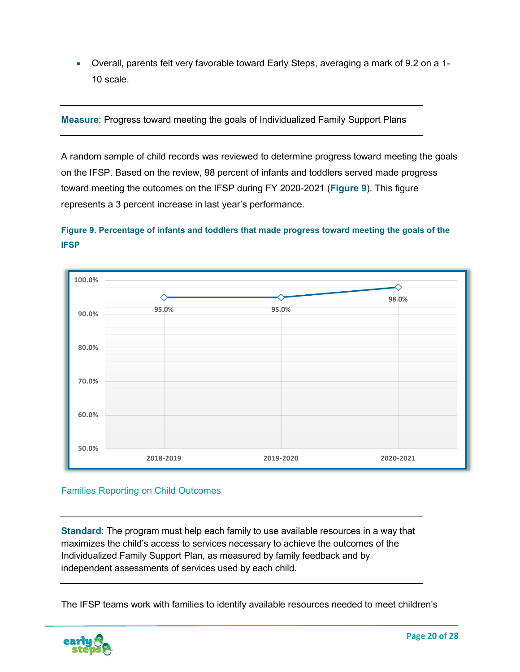• Overall, parents felt very favorable toward Early Steps, averaging a mark of 9.2 on a 1- 10 scale.

**Measure**: Progress toward meeting the goals of Individualized Family Support Plans

A random sample of child records was reviewed to determine progress toward meeting the goals on the IFSP. Based on the review, 98 percent of infants and toddlers served made progress toward meeting the outcomes on the IFSP during FY 2020-2021 (**Figure 9**). This figure represents a 3 percent increase in last year's performance.

## **Figure 9. Percentage of infants and toddlers that made progress toward meeting the goals of the IFSP**



#### <span id="page-20-0"></span>Families Reporting on Child Outcomes

**Standard**: The program must help each family to use available resources in a way that maximizes the child's access to services necessary to achieve the outcomes of the Individualized Family Support Plan, as measured by family feedback and by independent assessments of services used by each child.

The IFSP teams work with families to identify available resources needed to meet children's

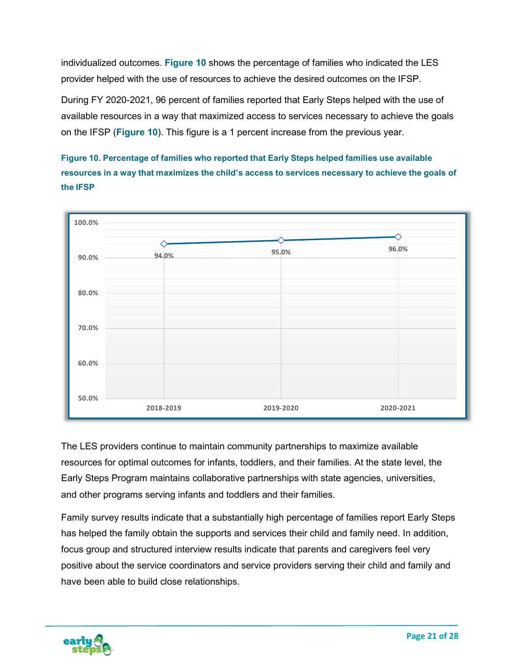individualized outcomes. **Figure 10** shows the percentage of families who indicated the LES provider helped with the use of resources to achieve the desired outcomes on the IFSP.

During FY 2020-2021, 96 percent of families reported that Early Steps helped with the use of available resources in a way that maximized access to services necessary to achieve the goals on the IFSP (**Figure 10**). This figure is a 1 percent increase from the previous year.

**Figure 10. Percentage of families who reported that Early Steps helped families use available resources in a way that maximizes the child's access to services necessary to achieve the goals of the IFSP**



The LES providers continue to maintain community partnerships to maximize available resources for optimal outcomes for infants, toddlers, and their families. At the state level, the Early Steps Program maintains collaborative partnerships with state agencies, universities, and other programs serving infants and toddlers and their families.

Family survey results indicate that a substantially high percentage of families report Early Steps has helped the family obtain the supports and services their child and family need. In addition, focus group and structured interview results indicate that parents and caregivers feel very positive about the service coordinators and service providers serving their child and family and have been able to build close relationships.

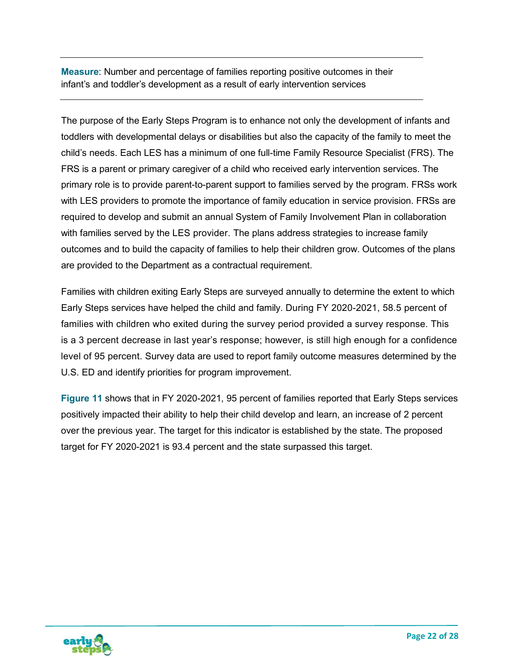**Measure**: Number and percentage of families reporting positive outcomes in their infant's and toddler's development as a result of early intervention services

The purpose of the Early Steps Program is to enhance not only the development of infants and toddlers with developmental delays or disabilities but also the capacity of the family to meet the child's needs. Each LES has a minimum of one full-time Family Resource Specialist (FRS). The FRS is a parent or primary caregiver of a child who received early intervention services. The primary role is to provide parent-to-parent support to families served by the program. FRSs work with LES providers to promote the importance of family education in service provision. FRSs are required to develop and submit an annual System of Family Involvement Plan in collaboration with families served by the LES provider. The plans address strategies to increase family outcomes and to build the capacity of families to help their children grow. Outcomes of the plans are provided to the Department as a contractual requirement.

Families with children exiting Early Steps are surveyed annually to determine the extent to which Early Steps services have helped the child and family. During FY 2020-2021, 58.5 percent of families with children who exited during the survey period provided a survey response. This is a 3 percent decrease in last year's response; however, is still high enough for a confidence level of 95 percent. Survey data are used to report family outcome measures determined by the U.S. ED and identify priorities for program improvement.

**Figure 11** shows that in FY 2020-2021, 95 percent of families reported that Early Steps services positively impacted their ability to help their child develop and learn, an increase of 2 percent over the previous year. The target for this indicator is established by the state. The proposed target for FY 2020-2021 is 93.4 percent and the state surpassed this target.

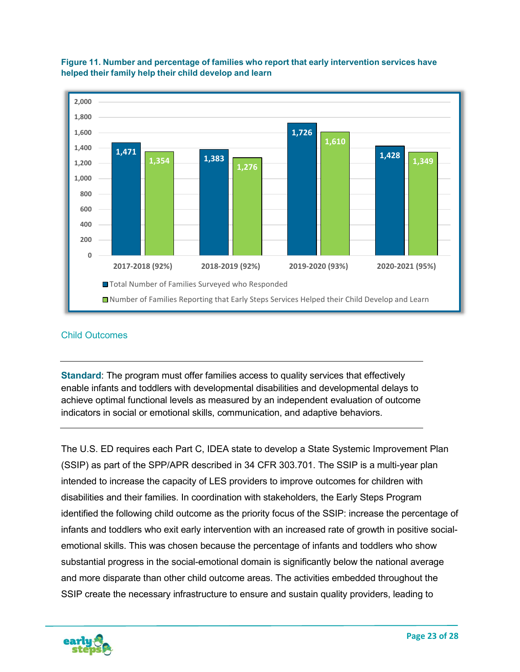

#### **Figure 11. Number and percentage of families who report that early intervention services have helped their family help their child develop and learn**

#### <span id="page-23-0"></span>Child Outcomes

**Standard**: The program must offer families access to quality services that effectively enable infants and toddlers with developmental disabilities and developmental delays to achieve optimal functional levels as measured by an independent evaluation of outcome indicators in social or emotional skills, communication, and adaptive behaviors.

The U.S. ED requires each Part C, IDEA state to develop a State Systemic Improvement Plan (SSIP) as part of the SPP/APR described in 34 CFR 303.701. The SSIP is a multi-year plan intended to increase the capacity of LES providers to improve outcomes for children with disabilities and their families. In coordination with stakeholders, the Early Steps Program identified the following child outcome as the priority focus of the SSIP: increase the percentage of infants and toddlers who exit early intervention with an increased rate of growth in positive socialemotional skills. This was chosen because the percentage of infants and toddlers who show substantial progress in the social-emotional domain is significantly below the national average and more disparate than other child outcome areas. The activities embedded throughout the SSIP create the necessary infrastructure to ensure and sustain quality providers, leading to

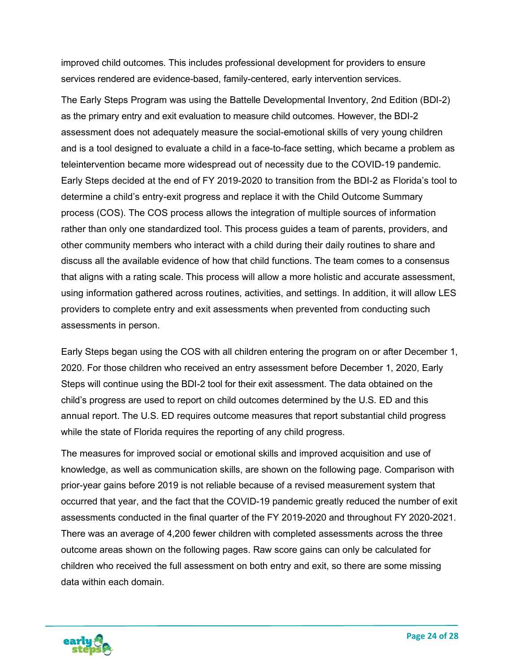improved child outcomes. This includes professional development for providers to ensure services rendered are evidence-based, family-centered, early intervention services.

The Early Steps Program was using the Battelle Developmental Inventory, 2nd Edition (BDI-2) as the primary entry and exit evaluation to measure child outcomes. However, the BDI-2 assessment does not adequately measure the social-emotional skills of very young children and is a tool designed to evaluate a child in a face-to-face setting, which became a problem as teleintervention became more widespread out of necessity due to the COVID-19 pandemic. Early Steps decided at the end of FY 2019-2020 to transition from the BDI-2 as Florida's tool to determine a child's entry-exit progress and replace it with the Child Outcome Summary process (COS). The COS process allows the integration of multiple sources of information rather than only one standardized tool. This process guides a team of parents, providers, and other community members who interact with a child during their daily routines to share and discuss all the available evidence of how that child functions. The team comes to a consensus that aligns with a rating scale. This process will allow a more holistic and accurate assessment, using information gathered across routines, activities, and settings. In addition, it will allow LES providers to complete entry and exit assessments when prevented from conducting such assessments in person.

Early Steps began using the COS with all children entering the program on or after December 1, 2020. For those children who received an entry assessment before December 1, 2020, Early Steps will continue using the BDI-2 tool for their exit assessment. The data obtained on the child's progress are used to report on child outcomes determined by the U.S. ED and this annual report. The U.S. ED requires outcome measures that report substantial child progress while the state of Florida requires the reporting of any child progress.

The measures for improved social or emotional skills and improved acquisition and use of knowledge, as well as communication skills, are shown on the following page. Comparison with prior-year gains before 2019 is not reliable because of a revised measurement system that occurred that year, and the fact that the COVID-19 pandemic greatly reduced the number of exit assessments conducted in the final quarter of the FY 2019-2020 and throughout FY 2020-2021. There was an average of 4,200 fewer children with completed assessments across the three outcome areas shown on the following pages. Raw score gains can only be calculated for children who received the full assessment on both entry and exit, so there are some missing data within each domain.

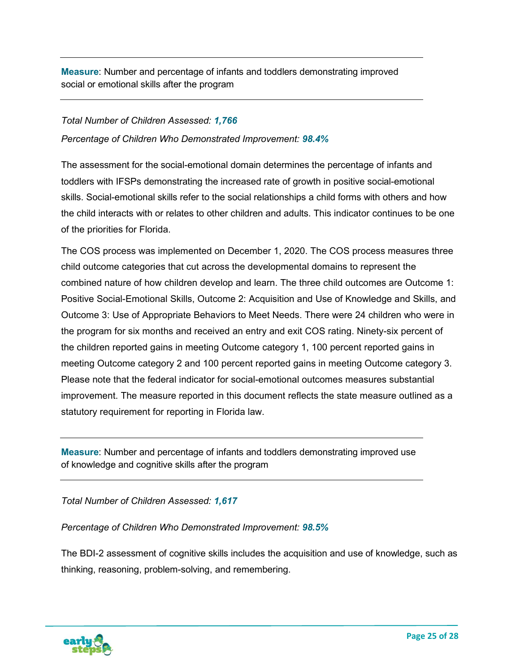**Measure**: Number and percentage of infants and toddlers demonstrating improved social or emotional skills after the program

## *Total Number of Children Assessed: 1,766 Percentage of Children Who Demonstrated Improvement: 98.4%*

The assessment for the social-emotional domain determines the percentage of infants and toddlers with IFSPs demonstrating the increased rate of growth in positive social-emotional skills. Social-emotional skills refer to the social relationships a child forms with others and how the child interacts with or relates to other children and adults. This indicator continues to be one of the priorities for Florida.

The COS process was implemented on December 1, 2020. The COS process measures three child outcome categories that cut across the developmental domains to represent the combined nature of how children develop and learn. The three child outcomes are Outcome 1: Positive Social-Emotional Skills, Outcome 2: Acquisition and Use of Knowledge and Skills, and Outcome 3: Use of Appropriate Behaviors to Meet Needs. There were 24 children who were in the program for six months and received an entry and exit COS rating. Ninety-six percent of the children reported gains in meeting Outcome category 1, 100 percent reported gains in meeting Outcome category 2 and 100 percent reported gains in meeting Outcome category 3. Please note that the federal indicator for social-emotional outcomes measures substantial improvement. The measure reported in this document reflects the state measure outlined as a statutory requirement for reporting in Florida law.

**Measure**: Number and percentage of infants and toddlers demonstrating improved use of knowledge and cognitive skills after the program

*Total Number of Children Assessed: 1,617*

*Percentage of Children Who Demonstrated Improvement: 98.5%*

The BDI-2 assessment of cognitive skills includes the acquisition and use of knowledge, such as thinking, reasoning, problem-solving, and remembering.

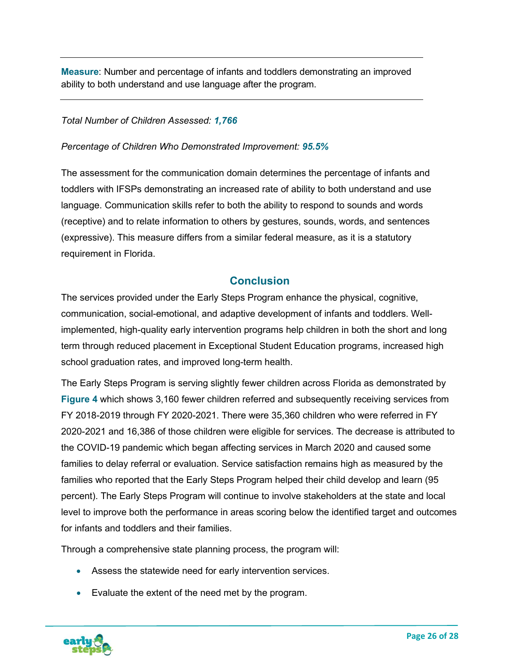**Measure**: Number and percentage of infants and toddlers demonstrating an improved ability to both understand and use language after the program.

#### *Total Number of Children Assessed: 1,766*

#### *Percentage of Children Who Demonstrated Improvement: 95.5%*

The assessment for the communication domain determines the percentage of infants and toddlers with IFSPs demonstrating an increased rate of ability to both understand and use language. Communication skills refer to both the ability to respond to sounds and words (receptive) and to relate information to others by gestures, sounds, words, and sentences (expressive). This measure differs from a similar federal measure, as it is a statutory requirement in Florida.

## **Conclusion**

<span id="page-26-0"></span>The services provided under the Early Steps Program enhance the physical, cognitive, communication, social-emotional, and adaptive development of infants and toddlers. Wellimplemented, high-quality early intervention programs help children in both the short and long term through reduced placement in Exceptional Student Education programs, increased high school graduation rates, and improved long-term health.

The Early Steps Program is serving slightly fewer children across Florida as demonstrated by **Figure 4** which shows 3,160 fewer children referred and subsequently receiving services from FY 2018-2019 through FY 2020-2021. There were 35,360 children who were referred in FY 2020-2021 and 16,386 of those children were eligible for services. The decrease is attributed to the COVID-19 pandemic which began affecting services in March 2020 and caused some families to delay referral or evaluation. Service satisfaction remains high as measured by the families who reported that the Early Steps Program helped their child develop and learn (95 percent). The Early Steps Program will continue to involve stakeholders at the state and local level to improve both the performance in areas scoring below the identified target and outcomes for infants and toddlers and their families.

Through a comprehensive state planning process, the program will:

- Assess the statewide need for early intervention services.
- Evaluate the extent of the need met by the program.

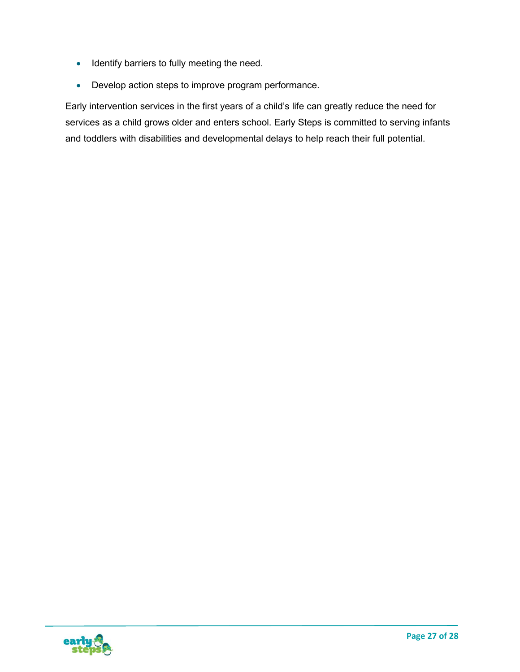- Identify barriers to fully meeting the need.
- Develop action steps to improve program performance.

Early intervention services in the first years of a child's life can greatly reduce the need for services as a child grows older and enters school. Early Steps is committed to serving infants and toddlers with disabilities and developmental delays to help reach their full potential.